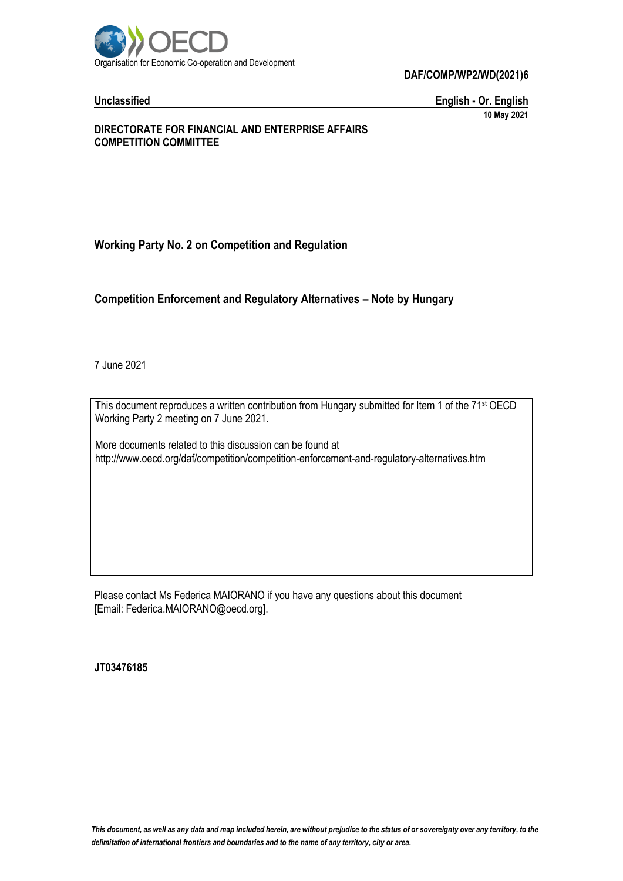

**DAF/COMP/WP2/WD(2021)6**

**Unclassified English - Or. English 10 May 2021**

### **DIRECTORATE FOR FINANCIAL AND ENTERPRISE AFFAIRS COMPETITION COMMITTEE**

# **Working Party No. 2 on Competition and Regulation**

# **Competition Enforcement and Regulatory Alternatives – Note by Hungary**

7 June 2021

This document reproduces a written contribution from Hungary submitted for Item 1 of the 71<sup>st</sup> OECD Working Party 2 meeting on 7 June 2021.

More documents related to this discussion can be found at http://www.oecd.org/daf/competition/competition-enforcement-and-regulatory-alternatives.htm

Please contact Ms Federica MAIORANO if you have any questions about this document [Email: Federica.MAIORANO@oecd.org].

**JT03476185**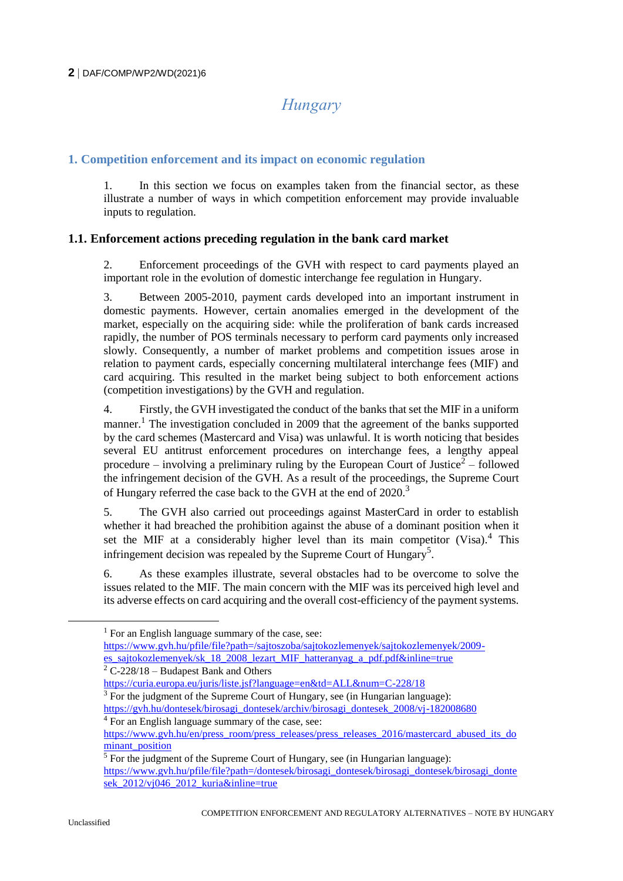# *Hungary*

# **1. Competition enforcement and its impact on economic regulation**

In this section we focus on examples taken from the financial sector, as these illustrate a number of ways in which competition enforcement may provide invaluable inputs to regulation.

# **1.1. Enforcement actions preceding regulation in the bank card market**

2. Enforcement proceedings of the GVH with respect to card payments played an important role in the evolution of domestic interchange fee regulation in Hungary.

3. Between 2005-2010, payment cards developed into an important instrument in domestic payments. However, certain anomalies emerged in the development of the market, especially on the acquiring side: while the proliferation of bank cards increased rapidly, the number of POS terminals necessary to perform card payments only increased slowly. Consequently, a number of market problems and competition issues arose in relation to payment cards, especially concerning multilateral interchange fees (MIF) and card acquiring. This resulted in the market being subject to both enforcement actions (competition investigations) by the GVH and regulation.

4. Firstly, the GVH investigated the conduct of the banks that set the MIF in a uniform manner.<sup>1</sup> The investigation concluded in 2009 that the agreement of the banks supported by the card schemes (Mastercard and Visa) was unlawful. It is worth noticing that besides several EU antitrust enforcement procedures on interchange fees, a lengthy appeal procedure – involving a preliminary ruling by the European Court of Justice<sup>2</sup> – followed the infringement decision of the GVH. As a result of the proceedings, the Supreme Court of Hungary referred the case back to the GVH at the end of 2020.<sup>3</sup>

5. The GVH also carried out proceedings against MasterCard in order to establish whether it had breached the prohibition against the abuse of a dominant position when it set the MIF at a considerably higher level than its main competitor (Visa). $4$  This infringement decision was repealed by the Supreme Court of Hungary<sup>5</sup>.

6. As these examples illustrate, several obstacles had to be overcome to solve the issues related to the MIF. The main concern with the MIF was its perceived high level and its adverse effects on card acquiring and the overall cost-efficiency of the payment systems.

 $2$  C-228/18 – Budapest Bank and Others

<https://curia.europa.eu/juris/liste.jsf?language=en&td=ALL&num=C-228/18>

 $3$  For the judgment of the Supreme Court of Hungary, see (in Hungarian language): [https://gvh.hu/dontesek/birosagi\\_dontesek/archiv/birosagi\\_dontesek\\_2008/vj-182008680](https://gvh.hu/dontesek/birosagi_dontesek/archiv/birosagi_dontesek_2008/vj-182008680) <sup>4</sup> For an English language summary of the case, see:

 $<sup>1</sup>$  For an English language summary of the case, see:</sup>

[https://www.gvh.hu/pfile/file?path=/sajtoszoba/sajtokozlemenyek/sajtokozlemenyek/2009](https://www.gvh.hu/pfile/file?path=/sajtoszoba/sajtokozlemenyek/sajtokozlemenyek/2009-es_sajtokozlemenyek/sk_18_2008_lezart_MIF_hatteranyag_a_pdf.pdf&inline=true) [es\\_sajtokozlemenyek/sk\\_18\\_2008\\_lezart\\_MIF\\_hatteranyag\\_a\\_pdf.pdf&inline=true](https://www.gvh.hu/pfile/file?path=/sajtoszoba/sajtokozlemenyek/sajtokozlemenyek/2009-es_sajtokozlemenyek/sk_18_2008_lezart_MIF_hatteranyag_a_pdf.pdf&inline=true)

[https://www.gvh.hu/en/press\\_room/press\\_releases/press\\_releases\\_2016/mastercard\\_abused\\_its\\_do](https://www.gvh.hu/en/press_room/press_releases/press_releases_2016/mastercard_abused_its_dominant_position) [minant\\_position](https://www.gvh.hu/en/press_room/press_releases/press_releases_2016/mastercard_abused_its_dominant_position)

<sup>&</sup>lt;sup>5</sup> For the judgment of the Supreme Court of Hungary, see (in Hungarian language): [https://www.gvh.hu/pfile/file?path=/dontesek/birosagi\\_dontesek/birosagi\\_dontesek/birosagi\\_donte](https://www.gvh.hu/pfile/file?path=/dontesek/birosagi_dontesek/birosagi_dontesek/birosagi_dontesek_2012/vj046_2012_kuria&inline=true) sek<sup>2012/vj046</sup> 2012 kuria&inline=true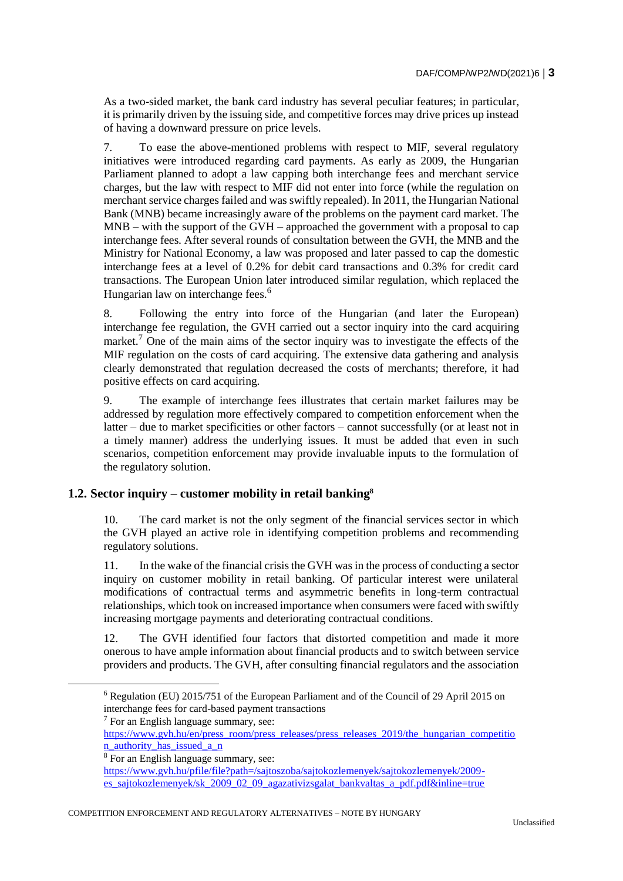As a two-sided market, the bank card industry has several peculiar features; in particular, it is primarily driven by the issuing side, and competitive forces may drive prices up instead of having a downward pressure on price levels.

7. To ease the above-mentioned problems with respect to MIF, several regulatory initiatives were introduced regarding card payments. As early as 2009, the Hungarian Parliament planned to adopt a law capping both interchange fees and merchant service charges, but the law with respect to MIF did not enter into force (while the regulation on merchant service charges failed and was swiftly repealed). In 2011, the Hungarian National Bank (MNB) became increasingly aware of the problems on the payment card market. The  $MNB - with the support of the GVH - approached the government with a proposal to cap$ interchange fees. After several rounds of consultation between the GVH, the MNB and the Ministry for National Economy, a law was proposed and later passed to cap the domestic interchange fees at a level of 0.2% for debit card transactions and 0.3% for credit card transactions. The European Union later introduced similar regulation, which replaced the Hungarian law on interchange fees.<sup>6</sup>

8. Following the entry into force of the Hungarian (and later the European) interchange fee regulation, the GVH carried out a sector inquiry into the card acquiring market.<sup>7</sup> One of the main aims of the sector inquiry was to investigate the effects of the MIF regulation on the costs of card acquiring. The extensive data gathering and analysis clearly demonstrated that regulation decreased the costs of merchants; therefore, it had positive effects on card acquiring.

9. The example of interchange fees illustrates that certain market failures may be addressed by regulation more effectively compared to competition enforcement when the latter – due to market specificities or other factors – cannot successfully (or at least not in a timely manner) address the underlying issues. It must be added that even in such scenarios, competition enforcement may provide invaluable inputs to the formulation of the regulatory solution.

# **1.2. Sector inquiry – customer mobility in retail banking<sup>8</sup>**

10. The card market is not the only segment of the financial services sector in which the GVH played an active role in identifying competition problems and recommending regulatory solutions.

11. In the wake of the financial crisis the GVH was in the process of conducting a sector inquiry on customer mobility in retail banking. Of particular interest were unilateral modifications of contractual terms and asymmetric benefits in long-term contractual relationships, which took on increased importance when consumers were faced with swiftly increasing mortgage payments and deteriorating contractual conditions.

12. The GVH identified four factors that distorted competition and made it more onerous to have ample information about financial products and to switch between service providers and products. The GVH, after consulting financial regulators and the association

 $<sup>7</sup>$  For an English language summary, see:</sup>

COMPETITION ENFORCEMENT AND REGULATORY ALTERNATIVES – NOTE BY HUNGARY

 $6$  Regulation (EU) 2015/751 of the European Parliament and of the Council of 29 April 2015 on interchange fees for card-based payment transactions

[https://www.gvh.hu/en/press\\_room/press\\_releases/press\\_releases\\_2019/the\\_hungarian\\_competitio](https://www.gvh.hu/en/press_room/press_releases/press_releases_2019/the_hungarian_competition_authority_has_issued_a_n) [n\\_authority\\_has\\_issued\\_a\\_n](https://www.gvh.hu/en/press_room/press_releases/press_releases_2019/the_hungarian_competition_authority_has_issued_a_n)

<sup>8</sup> For an English language summary, see:

[https://www.gvh.hu/pfile/file?path=/sajtoszoba/sajtokozlemenyek/sajtokozlemenyek/2009](https://www.gvh.hu/pfile/file?path=/sajtoszoba/sajtokozlemenyek/sajtokozlemenyek/2009-es_sajtokozlemenyek/sk_2009_02_09_agazativizsgalat_bankvaltas_a_pdf.pdf&inline=true) [es\\_sajtokozlemenyek/sk\\_2009\\_02\\_09\\_agazativizsgalat\\_bankvaltas\\_a\\_pdf.pdf&inline=true](https://www.gvh.hu/pfile/file?path=/sajtoszoba/sajtokozlemenyek/sajtokozlemenyek/2009-es_sajtokozlemenyek/sk_2009_02_09_agazativizsgalat_bankvaltas_a_pdf.pdf&inline=true)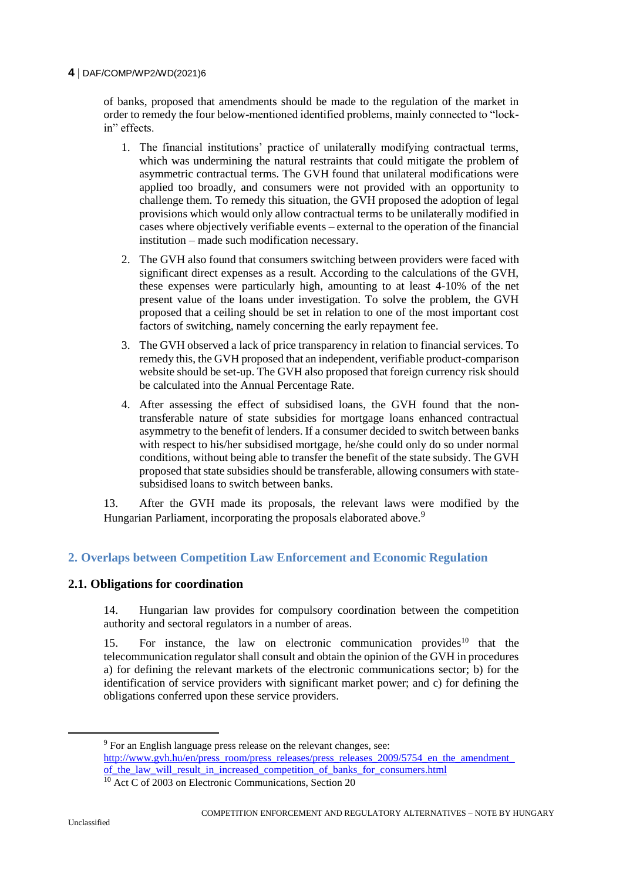#### **4** DAF/COMP/WP2/WD(2021)6

of banks, proposed that amendments should be made to the regulation of the market in order to remedy the four below-mentioned identified problems, mainly connected to "lockin" effects.

- 1. The financial institutions' practice of unilaterally modifying contractual terms, which was undermining the natural restraints that could mitigate the problem of asymmetric contractual terms. The GVH found that unilateral modifications were applied too broadly, and consumers were not provided with an opportunity to challenge them. To remedy this situation, the GVH proposed the adoption of legal provisions which would only allow contractual terms to be unilaterally modified in cases where objectively verifiable events – external to the operation of the financial institution – made such modification necessary.
- 2. The GVH also found that consumers switching between providers were faced with significant direct expenses as a result. According to the calculations of the GVH, these expenses were particularly high, amounting to at least 4-10% of the net present value of the loans under investigation. To solve the problem, the GVH proposed that a ceiling should be set in relation to one of the most important cost factors of switching, namely concerning the early repayment fee.
- 3. The GVH observed a lack of price transparency in relation to financial services. To remedy this, the GVH proposed that an independent, verifiable product-comparison website should be set-up. The GVH also proposed that foreign currency risk should be calculated into the Annual Percentage Rate.
- 4. After assessing the effect of subsidised loans, the GVH found that the nontransferable nature of state subsidies for mortgage loans enhanced contractual asymmetry to the benefit of lenders. If a consumer decided to switch between banks with respect to his/her subsidised mortgage, he/she could only do so under normal conditions, without being able to transfer the benefit of the state subsidy. The GVH proposed that state subsidies should be transferable, allowing consumers with statesubsidised loans to switch between banks.

13. After the GVH made its proposals, the relevant laws were modified by the Hungarian Parliament, incorporating the proposals elaborated above.<sup>9</sup>

# **2. Overlaps between Competition Law Enforcement and Economic Regulation**

# **2.1. Obligations for coordination**

14. Hungarian law provides for compulsory coordination between the competition authority and sectoral regulators in a number of areas.

15. For instance, the law on electronic communication provides<sup>10</sup> that the telecommunication regulator shall consult and obtain the opinion of the GVH in procedures a) for defining the relevant markets of the electronic communications sector; b) for the identification of service providers with significant market power; and c) for defining the obligations conferred upon these service providers.

<sup>&</sup>lt;sup>9</sup> For an English language press release on the relevant changes, see: http://www.gvh.hu/en/press\_room/press\_releases/press\_releases\_2009/5754\_en\_the\_amendment of the law will result in increased competition of banks for consumers.html

<sup>&</sup>lt;sup>10</sup> Act C of 2003 on Electronic Communications, Section 20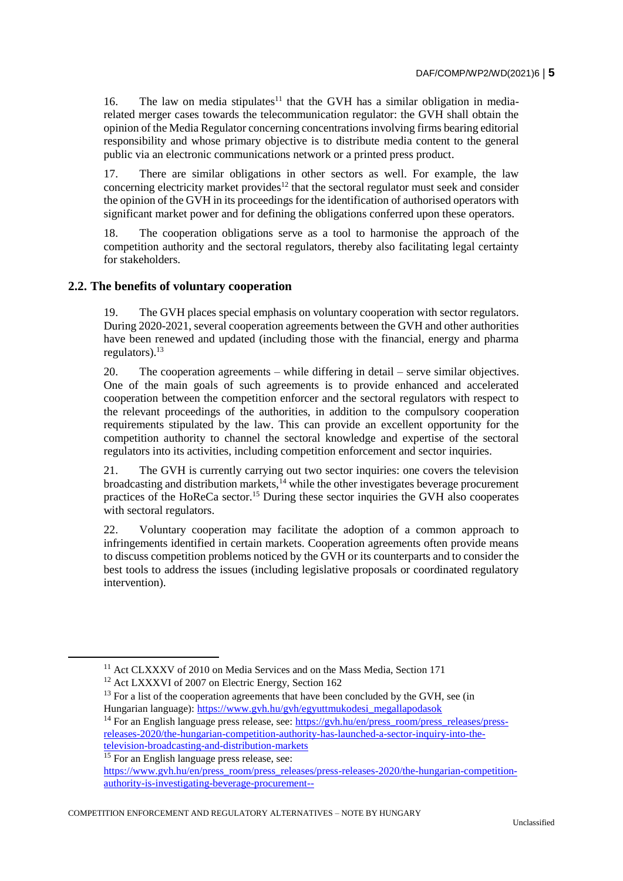16. The law on media stipulates<sup>11</sup> that the GVH has a similar obligation in mediarelated merger cases towards the telecommunication regulator: the GVH shall obtain the opinion of the Media Regulator concerning concentrations involving firms bearing editorial responsibility and whose primary objective is to distribute media content to the general public via an electronic communications network or a printed press product.

17. There are similar obligations in other sectors as well. For example, the law concerning electricity market provides<sup>12</sup> that the sectoral regulator must seek and consider the opinion of the GVH in its proceedings for the identification of authorised operators with significant market power and for defining the obligations conferred upon these operators.

18. The cooperation obligations serve as a tool to harmonise the approach of the competition authority and the sectoral regulators, thereby also facilitating legal certainty for stakeholders.

### **2.2. The benefits of voluntary cooperation**

19. The GVH places special emphasis on voluntary cooperation with sector regulators. During 2020-2021, several cooperation agreements between the GVH and other authorities have been renewed and updated (including those with the financial, energy and pharma regulators). $^{13}$ 

20. The cooperation agreements – while differing in detail – serve similar objectives. One of the main goals of such agreements is to provide enhanced and accelerated cooperation between the competition enforcer and the sectoral regulators with respect to the relevant proceedings of the authorities, in addition to the compulsory cooperation requirements stipulated by the law. This can provide an excellent opportunity for the competition authority to channel the sectoral knowledge and expertise of the sectoral regulators into its activities, including competition enforcement and sector inquiries.

21. The GVH is currently carrying out two sector inquiries: one covers the television broadcasting and distribution markets,  $^{14}$  while the other investigates beverage procurement practices of the HoReCa sector.<sup>15</sup> During these sector inquiries the GVH also cooperates with sectoral regulators.

22. Voluntary cooperation may facilitate the adoption of a common approach to infringements identified in certain markets. Cooperation agreements often provide means to discuss competition problems noticed by the GVH or its counterparts and to consider the best tools to address the issues (including legislative proposals or coordinated regulatory intervention).

<sup>&</sup>lt;sup>11</sup> Act CLXXXV of 2010 on Media Services and on the Mass Media, Section 171

<sup>&</sup>lt;sup>12</sup> Act LXXXVI of 2007 on Electric Energy, Section 162

 $13$  For a list of the cooperation agreements that have been concluded by the GVH, see (in Hungarian language): [https://www.gvh.hu/gvh/egyuttmukodesi\\_megallapodasok](https://www.gvh.hu/gvh/egyuttmukodesi_megallapodasok)

<sup>&</sup>lt;sup>14</sup> For an English language press release, see: [https://gvh.hu/en/press\\_room/press\\_releases/press](https://gvh.hu/en/press_room/press_releases/press-releases-2020/the-hungarian-competition-authority-has-launched-a-sector-inquiry-into-the-television-broadcasting-and-distribution-markets)[releases-2020/the-hungarian-competition-authority-has-launched-a-sector-inquiry-into-the](https://gvh.hu/en/press_room/press_releases/press-releases-2020/the-hungarian-competition-authority-has-launched-a-sector-inquiry-into-the-television-broadcasting-and-distribution-markets)[television-broadcasting-and-distribution-markets](https://gvh.hu/en/press_room/press_releases/press-releases-2020/the-hungarian-competition-authority-has-launched-a-sector-inquiry-into-the-television-broadcasting-and-distribution-markets)

<sup>&</sup>lt;sup>15</sup> For an English language press release, see: [https://www.gvh.hu/en/press\\_room/press\\_releases/press-releases-2020/the-hungarian-competition](https://www.gvh.hu/en/press_room/press_releases/press-releases-2020/the-hungarian-competition-authority-is-investigating-beverage-procurement--)[authority-is-investigating-beverage-procurement--](https://www.gvh.hu/en/press_room/press_releases/press-releases-2020/the-hungarian-competition-authority-is-investigating-beverage-procurement--)

COMPETITION ENFORCEMENT AND REGULATORY ALTERNATIVES – NOTE BY HUNGARY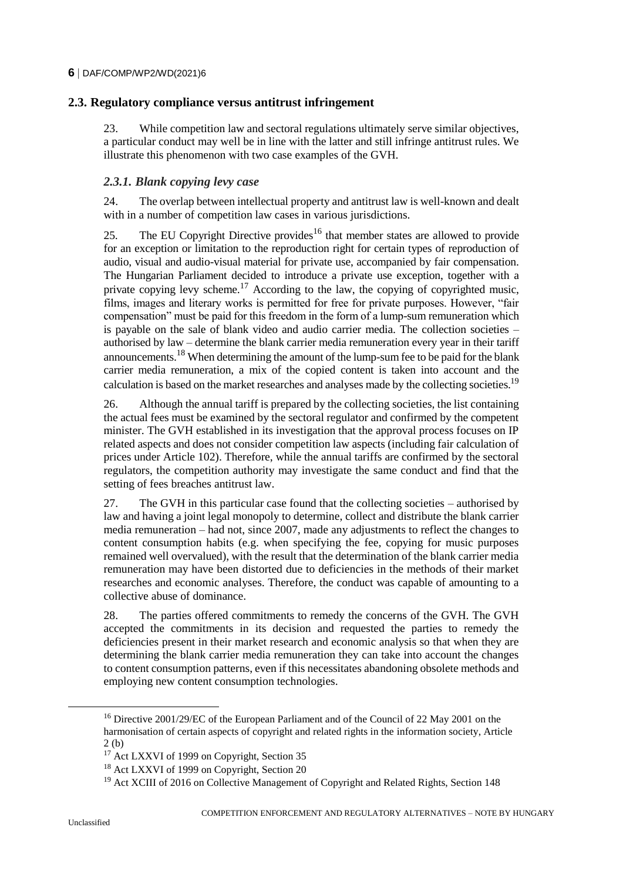# **2.3. Regulatory compliance versus antitrust infringement**

23. While competition law and sectoral regulations ultimately serve similar objectives, a particular conduct may well be in line with the latter and still infringe antitrust rules. We illustrate this phenomenon with two case examples of the GVH.

### *2.3.1. Blank copying levy case*

24. The overlap between intellectual property and antitrust law is well-known and dealt with in a number of competition law cases in various jurisdictions.

25. The EU Copyright Directive provides<sup>16</sup> that member states are allowed to provide for an exception or limitation to the reproduction right for certain types of reproduction of audio, visual and audio-visual material for private use, accompanied by fair compensation. The Hungarian Parliament decided to introduce a private use exception, together with a private copying levy scheme.<sup>17</sup> According to the law, the copying of copyrighted music, films, images and literary works is permitted for free for private purposes. However, "fair compensation" must be paid for this freedom in the form of a lump-sum remuneration which is payable on the sale of blank video and audio carrier media. The collection societies – authorised by law – determine the blank carrier media remuneration every year in their tariff announcements.<sup>18</sup> When determining the amount of the lump-sum fee to be paid for the blank carrier media remuneration, a mix of the copied content is taken into account and the calculation is based on the market researches and analyses made by the collecting societies.<sup>19</sup>

26. Although the annual tariff is prepared by the collecting societies, the list containing the actual fees must be examined by the sectoral regulator and confirmed by the competent minister. The GVH established in its investigation that the approval process focuses on IP related aspects and does not consider competition law aspects (including fair calculation of prices under Article 102). Therefore, while the annual tariffs are confirmed by the sectoral regulators, the competition authority may investigate the same conduct and find that the setting of fees breaches antitrust law.

27. The GVH in this particular case found that the collecting societies – authorised by law and having a joint legal monopoly to determine, collect and distribute the blank carrier media remuneration – had not, since 2007, made any adjustments to reflect the changes to content consumption habits (e.g. when specifying the fee, copying for music purposes remained well overvalued), with the result that the determination of the blank carrier media remuneration may have been distorted due to deficiencies in the methods of their market researches and economic analyses. Therefore, the conduct was capable of amounting to a collective abuse of dominance.

28. The parties offered commitments to remedy the concerns of the GVH. The GVH accepted the commitments in its decision and requested the parties to remedy the deficiencies present in their market research and economic analysis so that when they are determining the blank carrier media remuneration they can take into account the changes to content consumption patterns, even if this necessitates abandoning obsolete methods and employing new content consumption technologies.

<sup>16</sup> Directive 2001/29/EC of the European Parliament and of the Council of 22 May 2001 on the harmonisation of certain aspects of copyright and related rights in the information society, Article 2 (b)

<sup>&</sup>lt;sup>17</sup> Act LXXVI of 1999 on Copyright, Section 35

<sup>&</sup>lt;sup>18</sup> Act LXXVI of 1999 on Copyright, Section 20

<sup>&</sup>lt;sup>19</sup> Act XCIII of 2016 on Collective Management of Copyright and Related Rights, Section 148